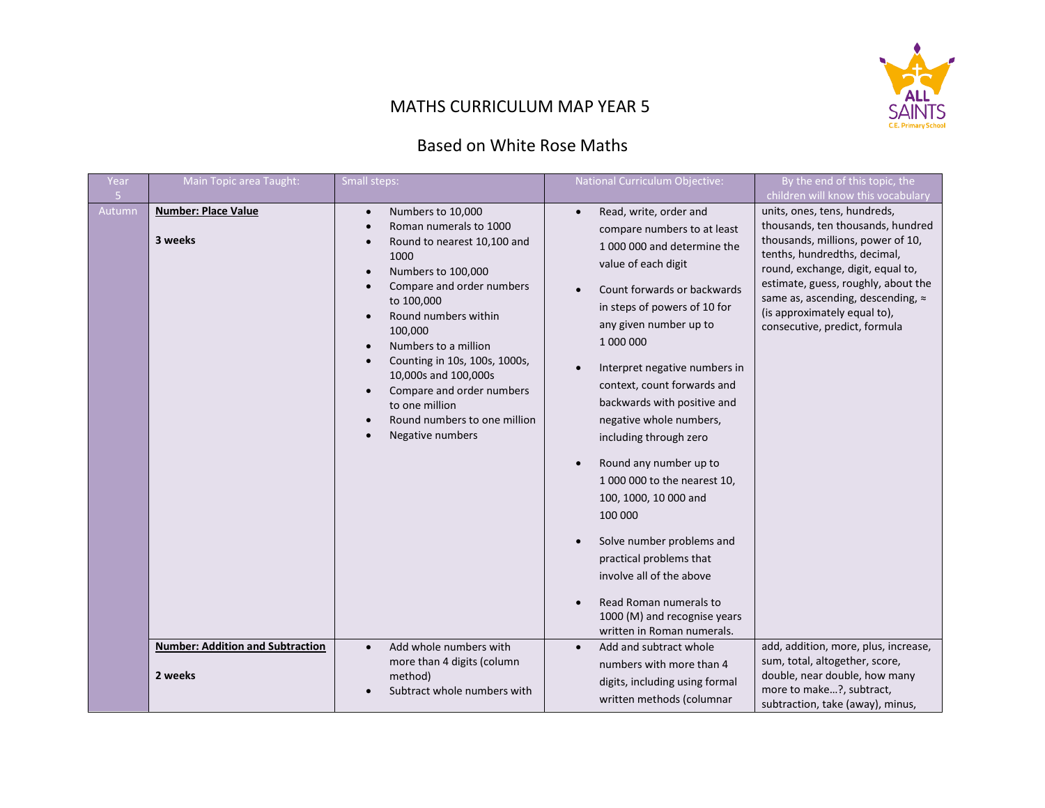

## MATHS CURRICULUM MAP YEAR 5

## Based on White Rose Maths

| Year                     | Main Topic area Taught:                            | Small steps:                                                                                                                                                                                                                                                                                                                                                                                                                                                                                                 | National Curriculum Objective:                                                                                                                                                                                                                                                                                                                                                                                                                                       | By the end of this topic, the                                                                                                                                                                                                                                                                                                                                  |
|--------------------------|----------------------------------------------------|--------------------------------------------------------------------------------------------------------------------------------------------------------------------------------------------------------------------------------------------------------------------------------------------------------------------------------------------------------------------------------------------------------------------------------------------------------------------------------------------------------------|----------------------------------------------------------------------------------------------------------------------------------------------------------------------------------------------------------------------------------------------------------------------------------------------------------------------------------------------------------------------------------------------------------------------------------------------------------------------|----------------------------------------------------------------------------------------------------------------------------------------------------------------------------------------------------------------------------------------------------------------------------------------------------------------------------------------------------------------|
| 5 <sub>1</sub><br>Autumn | <b>Number: Place Value</b><br>3 weeks              | Numbers to 10,000<br>$\bullet$<br>Roman numerals to 1000<br>$\bullet$<br>Round to nearest 10,100 and<br>$\bullet$<br>1000<br>Numbers to 100,000<br>$\bullet$<br>Compare and order numbers<br>$\bullet$<br>to 100,000<br>Round numbers within<br>100,000<br>Numbers to a million<br>$\bullet$<br>Counting in 10s, 100s, 1000s,<br>$\bullet$<br>10,000s and 100,000s<br>Compare and order numbers<br>$\bullet$<br>to one million<br>Round numbers to one million<br>$\bullet$<br>Negative numbers<br>$\bullet$ | Read, write, order and<br>$\bullet$<br>compare numbers to at least<br>1000 000 and determine the<br>value of each digit<br>Count forwards or backwards<br>in steps of powers of 10 for<br>any given number up to<br>1 000 000<br>Interpret negative numbers in<br>context, count forwards and<br>backwards with positive and<br>negative whole numbers,<br>including through zero<br>Round any number up to<br>1 000 000 to the nearest 10,<br>100, 1000, 10 000 and | children will know this vocabulary<br>units, ones, tens, hundreds,<br>thousands, ten thousands, hundred<br>thousands, millions, power of 10,<br>tenths, hundredths, decimal,<br>round, exchange, digit, equal to,<br>estimate, guess, roughly, about the<br>same as, ascending, descending, ≈<br>(is approximately equal to),<br>consecutive, predict, formula |
|                          | <b>Number: Addition and Subtraction</b><br>2 weeks | Add whole numbers with<br>$\bullet$<br>more than 4 digits (column<br>method)<br>Subtract whole numbers with                                                                                                                                                                                                                                                                                                                                                                                                  | 100 000<br>Solve number problems and<br>practical problems that<br>involve all of the above<br>Read Roman numerals to<br>1000 (M) and recognise years<br>written in Roman numerals.<br>Add and subtract whole<br>numbers with more than 4<br>digits, including using formal<br>written methods (columnar                                                                                                                                                             | add, addition, more, plus, increase,<br>sum, total, altogether, score,<br>double, near double, how many<br>more to make?, subtract,<br>subtraction, take (away), minus,                                                                                                                                                                                        |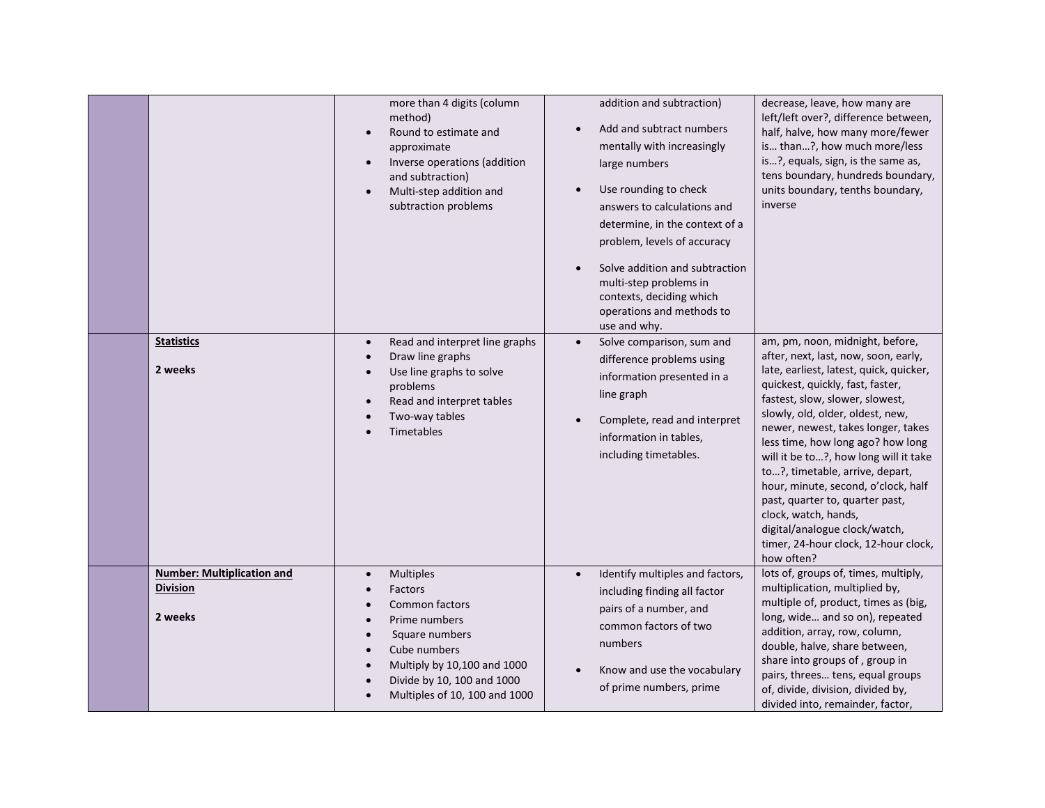|                                                                 | more than 4 digits (column<br>method)<br>Round to estimate and<br>$\bullet$<br>approximate<br>Inverse operations (addition<br>$\bullet$<br>and subtraction)<br>Multi-step addition and<br>$\bullet$<br>subtraction problems                                     | addition and subtraction)<br>Add and subtract numbers<br>mentally with increasingly<br>large numbers<br>Use rounding to check<br>answers to calculations and<br>determine, in the context of a<br>problem, levels of accuracy<br>Solve addition and subtraction<br>multi-step problems in<br>contexts, deciding which | decrease, leave, how many are<br>left/left over?, difference between,<br>half, halve, how many more/fewer<br>is than?, how much more/less<br>is?, equals, sign, is the same as,<br>tens boundary, hundreds boundary,<br>units boundary, tenths boundary,<br>inverse                                                                                                                                                                                                                                                                                                           |
|-----------------------------------------------------------------|-----------------------------------------------------------------------------------------------------------------------------------------------------------------------------------------------------------------------------------------------------------------|-----------------------------------------------------------------------------------------------------------------------------------------------------------------------------------------------------------------------------------------------------------------------------------------------------------------------|-------------------------------------------------------------------------------------------------------------------------------------------------------------------------------------------------------------------------------------------------------------------------------------------------------------------------------------------------------------------------------------------------------------------------------------------------------------------------------------------------------------------------------------------------------------------------------|
| <b>Statistics</b><br>2 weeks                                    | Read and interpret line graphs<br>$\bullet$<br>Draw line graphs<br>$\bullet$<br>Use line graphs to solve<br>$\bullet$<br>problems<br>Read and interpret tables<br>$\bullet$<br>Two-way tables<br>Timetables                                                     | operations and methods to<br>use and why.<br>Solve comparison, sum and<br>$\bullet$<br>difference problems using<br>information presented in a<br>line graph<br>Complete, read and interpret<br>information in tables,<br>including timetables.                                                                       | am, pm, noon, midnight, before,<br>after, next, last, now, soon, early,<br>late, earliest, latest, quick, quicker,<br>quickest, quickly, fast, faster,<br>fastest, slow, slower, slowest,<br>slowly, old, older, oldest, new,<br>newer, newest, takes longer, takes<br>less time, how long ago? how long<br>will it be to?, how long will it take<br>to?, timetable, arrive, depart,<br>hour, minute, second, o'clock, half<br>past, quarter to, quarter past,<br>clock, watch, hands,<br>digital/analogue clock/watch,<br>timer, 24-hour clock, 12-hour clock,<br>how often? |
| <b>Number: Multiplication and</b><br><b>Division</b><br>2 weeks | <b>Multiples</b><br>$\bullet$<br>Factors<br>Common factors<br>$\bullet$<br>Prime numbers<br>$\bullet$<br>Square numbers<br>$\bullet$<br>Cube numbers<br>$\bullet$<br>Multiply by 10,100 and 1000<br>Divide by 10, 100 and 1000<br>Multiples of 10, 100 and 1000 | Identify multiples and factors,<br>including finding all factor<br>pairs of a number, and<br>common factors of two<br>numbers<br>Know and use the vocabulary<br>of prime numbers, prime                                                                                                                               | lots of, groups of, times, multiply,<br>multiplication, multiplied by,<br>multiple of, product, times as (big,<br>long, wide and so on), repeated<br>addition, array, row, column,<br>double, halve, share between,<br>share into groups of, group in<br>pairs, threes tens, equal groups<br>of, divide, division, divided by,<br>divided into, remainder, factor,                                                                                                                                                                                                            |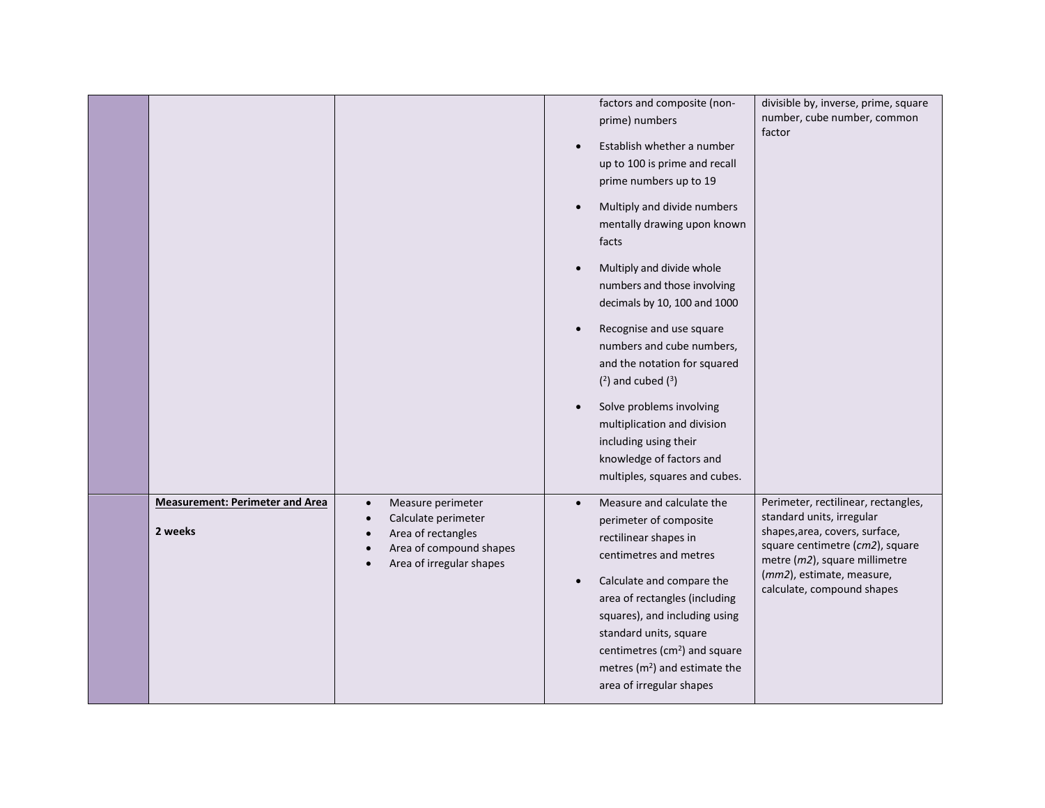|                                                   |                                                                                                                                    | factors and composite (non-<br>prime) numbers<br>Establish whether a number<br>$\bullet$<br>up to 100 is prime and recall<br>prime numbers up to 19<br>Multiply and divide numbers<br>$\bullet$<br>mentally drawing upon known<br>facts<br>Multiply and divide whole<br>$\bullet$<br>numbers and those involving<br>decimals by 10, 100 and 1000<br>Recognise and use square<br>$\bullet$<br>numbers and cube numbers,<br>and the notation for squared<br>$(2)$ and cubed $(3)$<br>Solve problems involving<br>$\bullet$<br>multiplication and division<br>including using their<br>knowledge of factors and<br>multiples, squares and cubes. | divisible by, inverse, prime, square<br>number, cube number, common<br>factor                                                                                                                                                     |
|---------------------------------------------------|------------------------------------------------------------------------------------------------------------------------------------|-----------------------------------------------------------------------------------------------------------------------------------------------------------------------------------------------------------------------------------------------------------------------------------------------------------------------------------------------------------------------------------------------------------------------------------------------------------------------------------------------------------------------------------------------------------------------------------------------------------------------------------------------|-----------------------------------------------------------------------------------------------------------------------------------------------------------------------------------------------------------------------------------|
| <b>Measurement: Perimeter and Area</b><br>2 weeks | Measure perimeter<br>$\bullet$<br>Calculate perimeter<br>Area of rectangles<br>Area of compound shapes<br>Area of irregular shapes | Measure and calculate the<br>$\bullet$<br>perimeter of composite<br>rectilinear shapes in<br>centimetres and metres<br>Calculate and compare the<br>$\bullet$<br>area of rectangles (including<br>squares), and including using<br>standard units, square<br>centimetres (cm <sup>2</sup> ) and square<br>metres ( $m2$ ) and estimate the<br>area of irregular shapes                                                                                                                                                                                                                                                                        | Perimeter, rectilinear, rectangles,<br>standard units, irregular<br>shapes, area, covers, surface,<br>square centimetre (cm2), square<br>metre (m2), square millimetre<br>(mm2), estimate, measure,<br>calculate, compound shapes |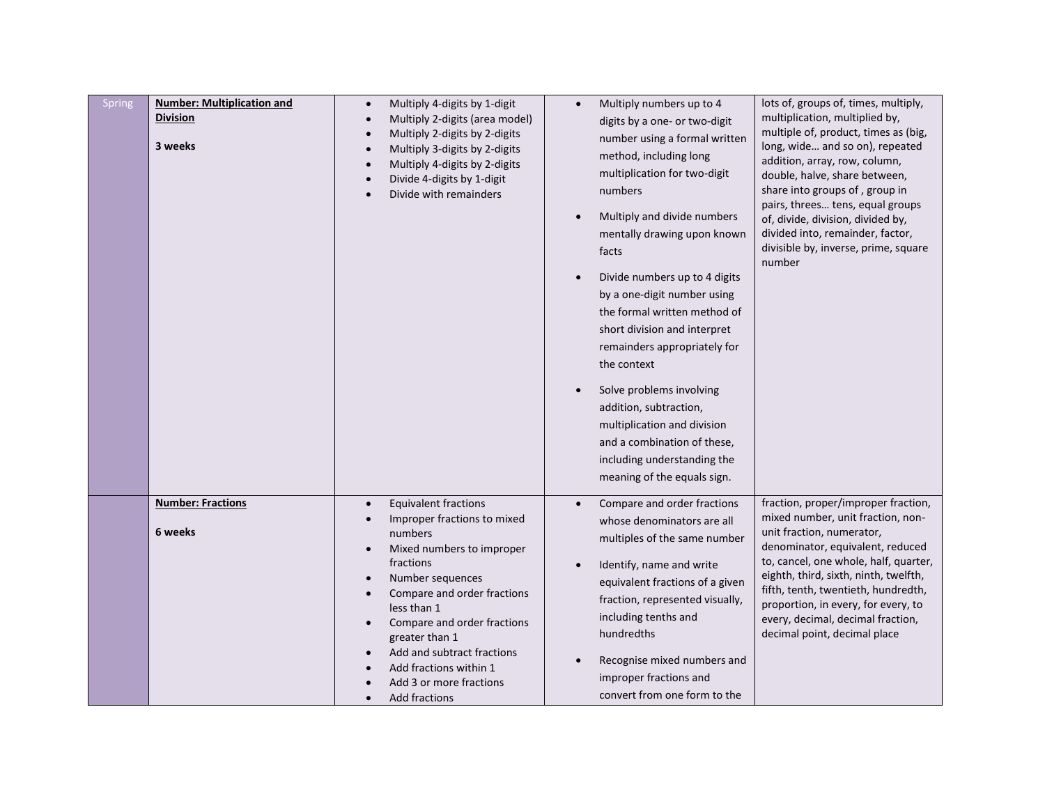| Spring | <b>Number: Multiplication and</b><br><b>Division</b><br>3 weeks | Multiply 4-digits by 1-digit<br>$\bullet$<br>Multiply 2-digits (area model)<br>$\bullet$<br>Multiply 2-digits by 2-digits<br>$\bullet$<br>Multiply 3-digits by 2-digits<br>$\bullet$<br>Multiply 4-digits by 2-digits<br>Divide 4-digits by 1-digit<br>Divide with remainders                                                                                                                           | Multiply numbers up to 4<br>$\bullet$<br>digits by a one- or two-digit<br>number using a formal written<br>method, including long<br>multiplication for two-digit<br>numbers<br>Multiply and divide numbers<br>mentally drawing upon known<br>facts<br>Divide numbers up to 4 digits<br>by a one-digit number using<br>the formal written method of<br>short division and interpret<br>remainders appropriately for<br>the context<br>Solve problems involving<br>addition, subtraction,<br>multiplication and division<br>and a combination of these,<br>including understanding the<br>meaning of the equals sign. | lots of, groups of, times, multiply,<br>multiplication, multiplied by,<br>multiple of, product, times as (big,<br>long, wide and so on), repeated<br>addition, array, row, column,<br>double, halve, share between,<br>share into groups of, group in<br>pairs, threes tens, equal groups<br>of, divide, division, divided by,<br>divided into, remainder, factor,<br>divisible by, inverse, prime, square<br>number |
|--------|-----------------------------------------------------------------|---------------------------------------------------------------------------------------------------------------------------------------------------------------------------------------------------------------------------------------------------------------------------------------------------------------------------------------------------------------------------------------------------------|----------------------------------------------------------------------------------------------------------------------------------------------------------------------------------------------------------------------------------------------------------------------------------------------------------------------------------------------------------------------------------------------------------------------------------------------------------------------------------------------------------------------------------------------------------------------------------------------------------------------|----------------------------------------------------------------------------------------------------------------------------------------------------------------------------------------------------------------------------------------------------------------------------------------------------------------------------------------------------------------------------------------------------------------------|
|        | <b>Number: Fractions</b><br>6 weeks                             | <b>Equivalent fractions</b><br>$\bullet$<br>Improper fractions to mixed<br>numbers<br>Mixed numbers to improper<br>$\bullet$<br>fractions<br>Number sequences<br>$\bullet$<br>Compare and order fractions<br>less than 1<br>Compare and order fractions<br>greater than 1<br>Add and subtract fractions<br>$\bullet$<br>Add fractions within 1<br>Add 3 or more fractions<br>Add fractions<br>$\bullet$ | Compare and order fractions<br>whose denominators are all<br>multiples of the same number<br>Identify, name and write<br>equivalent fractions of a given<br>fraction, represented visually,<br>including tenths and<br>hundredths<br>Recognise mixed numbers and<br>improper fractions and<br>convert from one form to the                                                                                                                                                                                                                                                                                           | fraction, proper/improper fraction,<br>mixed number, unit fraction, non-<br>unit fraction, numerator,<br>denominator, equivalent, reduced<br>to, cancel, one whole, half, quarter,<br>eighth, third, sixth, ninth, twelfth,<br>fifth, tenth, twentieth, hundredth,<br>proportion, in every, for every, to<br>every, decimal, decimal fraction,<br>decimal point, decimal place                                       |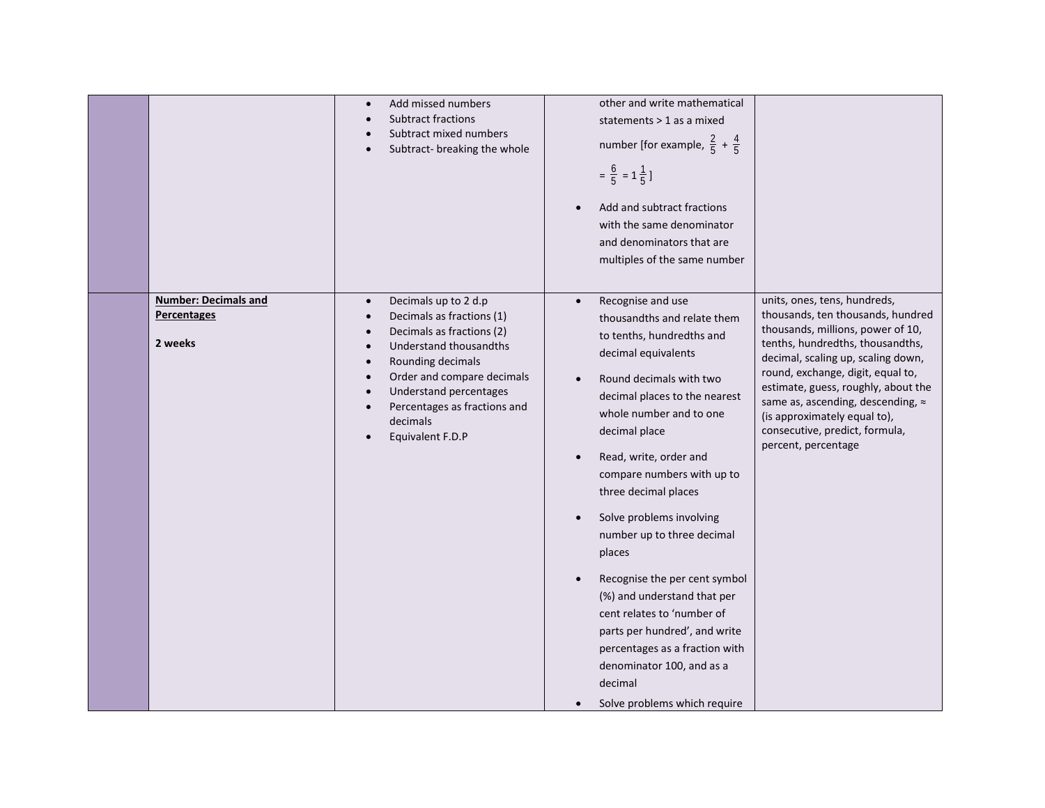|                                                       | Add missed numbers<br>$\bullet$<br><b>Subtract fractions</b><br>Subtract mixed numbers<br>Subtract-breaking the whole                                                                                                                                                                                                       | other and write mathematical<br>statements > 1 as a mixed<br>number [for example, $\frac{2}{5} + \frac{4}{5}$ ]<br>$=\frac{6}{5}$ = 1 $\frac{1}{5}$ ]<br>Add and subtract fractions<br>$\bullet$<br>with the same denominator<br>and denominators that are<br>multiples of the same number                                                                                                                                                                                                                                                                                                                                                                                              |                                                                                                                                                                                                                                                                                                                                                                                            |
|-------------------------------------------------------|-----------------------------------------------------------------------------------------------------------------------------------------------------------------------------------------------------------------------------------------------------------------------------------------------------------------------------|-----------------------------------------------------------------------------------------------------------------------------------------------------------------------------------------------------------------------------------------------------------------------------------------------------------------------------------------------------------------------------------------------------------------------------------------------------------------------------------------------------------------------------------------------------------------------------------------------------------------------------------------------------------------------------------------|--------------------------------------------------------------------------------------------------------------------------------------------------------------------------------------------------------------------------------------------------------------------------------------------------------------------------------------------------------------------------------------------|
| <b>Number: Decimals and</b><br>Percentages<br>2 weeks | Decimals up to 2 d.p<br>$\bullet$<br>Decimals as fractions (1)<br>٠<br>Decimals as fractions (2)<br>$\bullet$<br>Understand thousandths<br>Rounding decimals<br>$\bullet$<br>Order and compare decimals<br>$\bullet$<br>Understand percentages<br>$\bullet$<br>Percentages as fractions and<br>decimals<br>Equivalent F.D.P | Recognise and use<br>$\bullet$<br>thousandths and relate them<br>to tenths, hundredths and<br>decimal equivalents<br>Round decimals with two<br>$\bullet$<br>decimal places to the nearest<br>whole number and to one<br>decimal place<br>Read, write, order and<br>$\bullet$<br>compare numbers with up to<br>three decimal places<br>Solve problems involving<br>$\bullet$<br>number up to three decimal<br>places<br>Recognise the per cent symbol<br>$\bullet$<br>(%) and understand that per<br>cent relates to 'number of<br>parts per hundred', and write<br>percentages as a fraction with<br>denominator 100, and as a<br>decimal<br>Solve problems which require<br>$\bullet$ | units, ones, tens, hundreds,<br>thousands, ten thousands, hundred<br>thousands, millions, power of 10,<br>tenths, hundredths, thousandths,<br>decimal, scaling up, scaling down,<br>round, exchange, digit, equal to,<br>estimate, guess, roughly, about the<br>same as, ascending, descending, ≈<br>(is approximately equal to),<br>consecutive, predict, formula,<br>percent, percentage |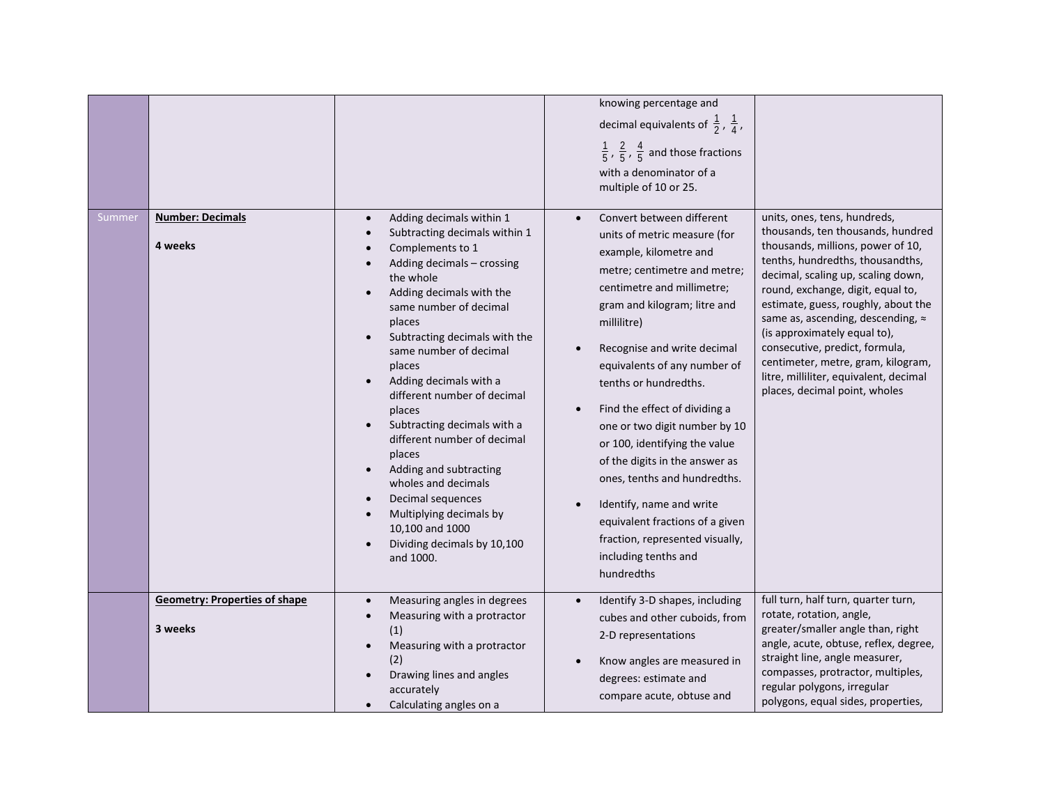|        |                                                 |                                                                                                                                                                                                                                                                                                                                                                                                                                                                                                                                                                                                                                           | knowing percentage and<br>decimal equivalents of $\frac{1}{2}$ , $\frac{1}{4}$ ,<br>$\frac{1}{5}$ , $\frac{2}{5}$ , $\frac{4}{5}$ and those fractions<br>with a denominator of a<br>multiple of 10 or 25.                                                                                                                                                                                                                                                                                                                                                                                             |                                                                                                                                                                                                                                                                                                                                                                                                                                                                                      |
|--------|-------------------------------------------------|-------------------------------------------------------------------------------------------------------------------------------------------------------------------------------------------------------------------------------------------------------------------------------------------------------------------------------------------------------------------------------------------------------------------------------------------------------------------------------------------------------------------------------------------------------------------------------------------------------------------------------------------|-------------------------------------------------------------------------------------------------------------------------------------------------------------------------------------------------------------------------------------------------------------------------------------------------------------------------------------------------------------------------------------------------------------------------------------------------------------------------------------------------------------------------------------------------------------------------------------------------------|--------------------------------------------------------------------------------------------------------------------------------------------------------------------------------------------------------------------------------------------------------------------------------------------------------------------------------------------------------------------------------------------------------------------------------------------------------------------------------------|
| Summer | <b>Number: Decimals</b><br>4 weeks              | Adding decimals within 1<br>$\bullet$<br>Subtracting decimals within 1<br>Complements to 1<br>Adding decimals - crossing<br>the whole<br>Adding decimals with the<br>$\bullet$<br>same number of decimal<br>places<br>Subtracting decimals with the<br>same number of decimal<br>places<br>Adding decimals with a<br>$\bullet$<br>different number of decimal<br>places<br>Subtracting decimals with a<br>$\bullet$<br>different number of decimal<br>places<br>Adding and subtracting<br>wholes and decimals<br>Decimal sequences<br>$\bullet$<br>Multiplying decimals by<br>10,100 and 1000<br>Dividing decimals by 10,100<br>and 1000. | Convert between different<br>units of metric measure (for<br>example, kilometre and<br>metre; centimetre and metre;<br>centimetre and millimetre;<br>gram and kilogram; litre and<br>millilitre)<br>Recognise and write decimal<br>equivalents of any number of<br>tenths or hundredths.<br>Find the effect of dividing a<br>one or two digit number by 10<br>or 100, identifying the value<br>of the digits in the answer as<br>ones, tenths and hundredths.<br>Identify, name and write<br>equivalent fractions of a given<br>fraction, represented visually,<br>including tenths and<br>hundredths | units, ones, tens, hundreds,<br>thousands, ten thousands, hundred<br>thousands, millions, power of 10,<br>tenths, hundredths, thousandths,<br>decimal, scaling up, scaling down,<br>round, exchange, digit, equal to,<br>estimate, guess, roughly, about the<br>same as, ascending, descending, ≈<br>(is approximately equal to),<br>consecutive, predict, formula,<br>centimeter, metre, gram, kilogram,<br>litre, milliliter, equivalent, decimal<br>places, decimal point, wholes |
|        | <b>Geometry: Properties of shape</b><br>3 weeks | Measuring angles in degrees<br>$\bullet$<br>Measuring with a protractor<br>$\bullet$<br>(1)<br>Measuring with a protractor<br>$\bullet$<br>(2)<br>Drawing lines and angles<br>accurately<br>Calculating angles on a                                                                                                                                                                                                                                                                                                                                                                                                                       | Identify 3-D shapes, including<br>cubes and other cuboids, from<br>2-D representations<br>Know angles are measured in<br>degrees: estimate and<br>compare acute, obtuse and                                                                                                                                                                                                                                                                                                                                                                                                                           | full turn, half turn, quarter turn,<br>rotate, rotation, angle,<br>greater/smaller angle than, right<br>angle, acute, obtuse, reflex, degree,<br>straight line, angle measurer,<br>compasses, protractor, multiples,<br>regular polygons, irregular<br>polygons, equal sides, properties,                                                                                                                                                                                            |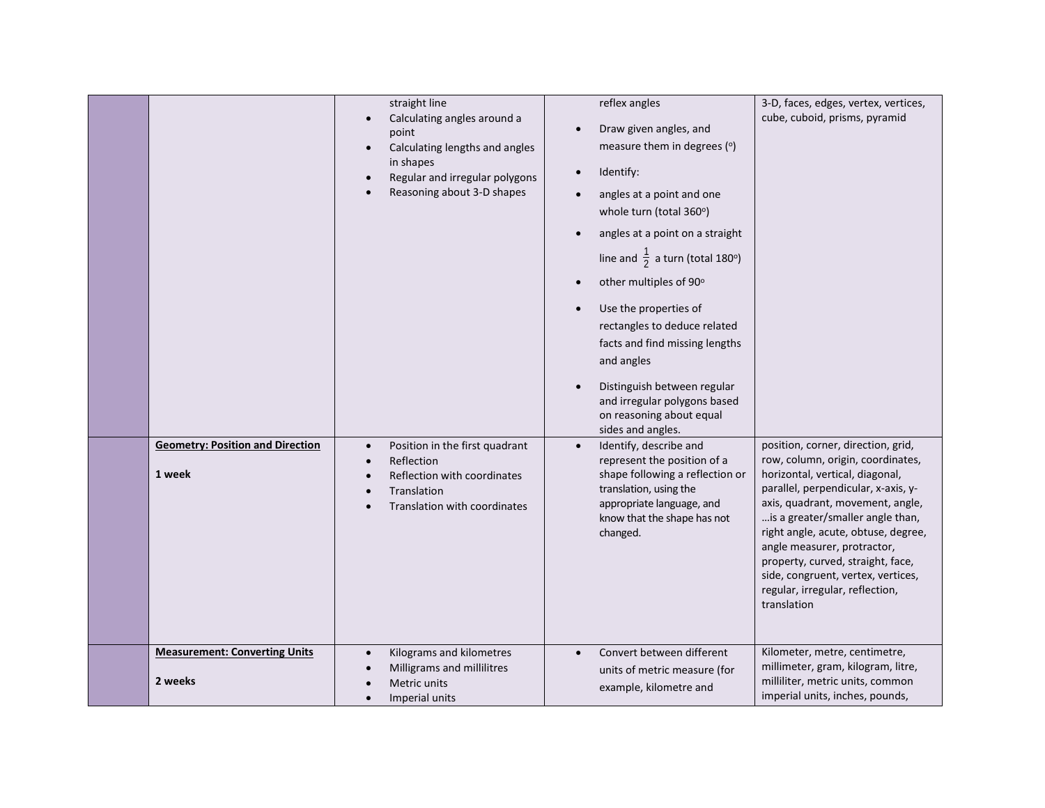|                                                   | straight line<br>Calculating angles around a<br>$\bullet$<br>point<br>Calculating lengths and angles<br>$\bullet$<br>in shapes<br>Regular and irregular polygons<br>Reasoning about 3-D shapes | reflex angles<br>Draw given angles, and<br>measure them in degrees (°)<br>Identify:<br>angles at a point and one<br>whole turn (total 360°)<br>angles at a point on a straight<br>line and $\frac{1}{2}$ a turn (total 180°)<br>other multiples of 90°<br>Use the properties of<br>rectangles to deduce related<br>facts and find missing lengths<br>and angles<br>Distinguish between regular<br>and irregular polygons based<br>on reasoning about equal<br>sides and angles. | 3-D, faces, edges, vertex, vertices,<br>cube, cuboid, prisms, pyramid                                                                                                                                                                                                                                                                                                                                                        |
|---------------------------------------------------|------------------------------------------------------------------------------------------------------------------------------------------------------------------------------------------------|---------------------------------------------------------------------------------------------------------------------------------------------------------------------------------------------------------------------------------------------------------------------------------------------------------------------------------------------------------------------------------------------------------------------------------------------------------------------------------|------------------------------------------------------------------------------------------------------------------------------------------------------------------------------------------------------------------------------------------------------------------------------------------------------------------------------------------------------------------------------------------------------------------------------|
| <b>Geometry: Position and Direction</b><br>1 week | Position in the first quadrant<br>$\bullet$<br>Reflection<br>Reflection with coordinates<br>Translation<br>Translation with coordinates                                                        | Identify, describe and<br>$\bullet$<br>represent the position of a<br>shape following a reflection or<br>translation, using the<br>appropriate language, and<br>know that the shape has not<br>changed.                                                                                                                                                                                                                                                                         | position, corner, direction, grid,<br>row, column, origin, coordinates,<br>horizontal, vertical, diagonal,<br>parallel, perpendicular, x-axis, y-<br>axis, quadrant, movement, angle,<br>is a greater/smaller angle than,<br>right angle, acute, obtuse, degree,<br>angle measurer, protractor,<br>property, curved, straight, face,<br>side, congruent, vertex, vertices,<br>regular, irregular, reflection,<br>translation |
| <b>Measurement: Converting Units</b><br>2 weeks   | Kilograms and kilometres<br>$\bullet$<br>Milligrams and millilitres<br>Metric units<br>Imperial units                                                                                          | Convert between different<br>$\bullet$<br>units of metric measure (for<br>example, kilometre and                                                                                                                                                                                                                                                                                                                                                                                | Kilometer, metre, centimetre,<br>millimeter, gram, kilogram, litre,<br>milliliter, metric units, common<br>imperial units, inches, pounds,                                                                                                                                                                                                                                                                                   |